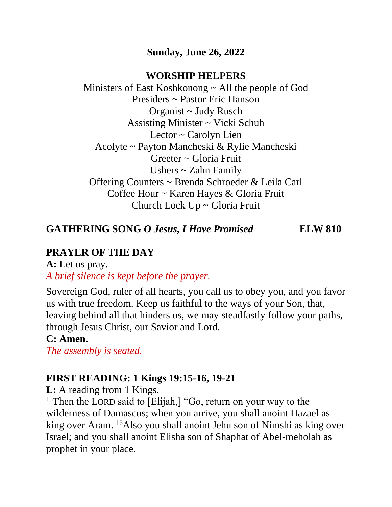#### **Sunday, June 26, 2022**

#### **WORSHIP HELPERS**

Ministers of East Koshkonong ~ All the people of God Presiders ~ Pastor Eric Hanson Organist ~ Judy Rusch Assisting Minister ~ Vicki Schuh Lector ~ Carolyn Lien Acolyte ~ Payton Mancheski & Rylie Mancheski Greeter ~ Gloria Fruit Ushers ~ Zahn Family Offering Counters ~ Brenda Schroeder & Leila Carl Coffee Hour ~ Karen Hayes & Gloria Fruit Church Lock Up ~ Gloria Fruit

**GATHERING SONG** *O Jesus, I Have Promised* **ELW 810**

## **PRAYER OF THE DAY**

**A:** Let us pray. *A brief silence is kept before the prayer.*

Sovereign God, ruler of all hearts, you call us to obey you, and you favor us with true freedom. Keep us faithful to the ways of your Son, that, leaving behind all that hinders us, we may steadfastly follow your paths, through Jesus Christ, our Savior and Lord.

#### **C: Amen.**

*The assembly is seated.*

## **FIRST READING: 1 Kings 19:15-16, 19-21**

**L:** A reading from 1 Kings.

<sup>15</sup>Then the LORD said to [Elijah,] "Go, return on your way to the wilderness of Damascus; when you arrive, you shall anoint Hazael as king over Aram. <sup>16</sup>Also you shall anoint Jehu son of Nimshi as king over Israel; and you shall anoint Elisha son of Shaphat of Abel-meholah as prophet in your place.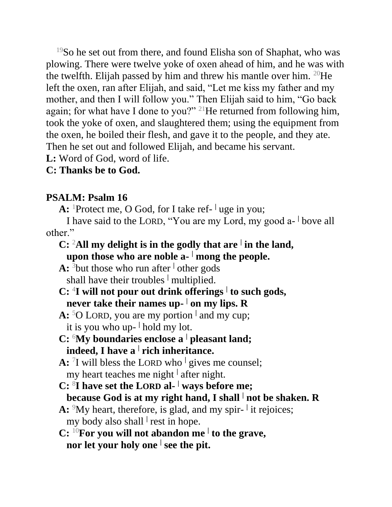<sup>19</sup>So he set out from there, and found Elisha son of Shaphat, who was plowing. There were twelve yoke of oxen ahead of him, and he was with the twelfth. Elijah passed by him and threw his mantle over him.  $20$ He left the oxen, ran after Elijah, and said, "Let me kiss my father and my mother, and then I will follow you." Then Elijah said to him, "Go back again; for what have I done to you?" <sup>21</sup>He returned from following him, took the yoke of oxen, and slaughtered them; using the equipment from the oxen, he boiled their flesh, and gave it to the people, and they ate. Then he set out and followed Elijah, and became his servant.

**L:** Word of God, word of life.

#### **C: Thanks be to God.**

#### **PSALM: Psalm 16**

A: <sup>1</sup>Protect me, O God, for I take ref- <sup>|</sup> uge in you;

I have said to the LORD, "You are my Lord, my good a- <sup>|</sup> bove all other."

#### **C:** <sup>2</sup>**All my delight is in the godly that are <sup>|</sup> in the land, upon those who are noble a- <sup>|</sup> mong the people.**

**A:** <sup>3</sup>but those who run after **<sup>|</sup>** other gods shall have their troubles **<sup>|</sup>** multiplied.

- **C:** <sup>4</sup> **I will not pour out drink offerings <sup>|</sup> to such gods, never take their names up- | on my lips. R**
- **A:** <sup>5</sup>O LORD, you are my portion **<sup>|</sup>** and my cup; it is you who up- **|** hold my lot.
- **C:** <sup>6</sup>**My boundaries enclose a <sup>|</sup> pleasant land; indeed, I have a <sup>|</sup> rich inheritance.**

**A:** <sup>7</sup> I will bless the LORD who **<sup>|</sup>** gives me counsel; my heart teaches me night **<sup>|</sup>** after night.

- **C:** <sup>8</sup> **I have set the LORD al- <sup>|</sup> ways before me; because God is at my right hand, I shall <sup>|</sup> not be shaken. R**
- A: <sup>9</sup>My heart, therefore, is glad, and my spir- <sup>|</sup> it rejoices; my body also shall **<sup>|</sup>** rest in hope.
- **C:** <sup>10</sup>**For you will not abandon me <sup>|</sup> to the grave, nor let your holy one <sup>|</sup> see the pit.**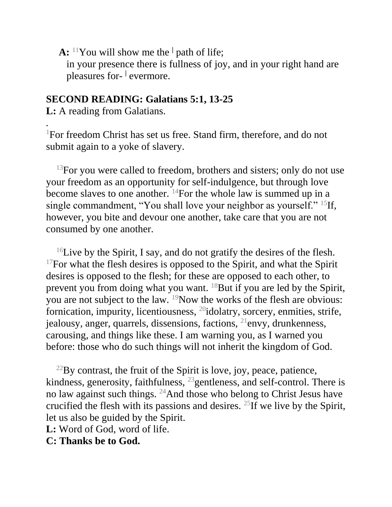**A:** <sup>11</sup>You will show me the **<sup>|</sup>** path of life; in your presence there is fullness of joy, and in your right hand are pleasures for- **|** evermore.

#### **SECOND READING: Galatians 5:1, 13-25**

**L:** A reading from Galatians.

*.*

<sup>1</sup>For freedom Christ has set us free. Stand firm, therefore, and do not submit again to a yoke of slavery.

 $13$  For you were called to freedom, brothers and sisters; only do not use your freedom as an opportunity for self-indulgence, but through love become slaves to one another.  $^{14}$ For the whole law is summed up in a single commandment, "You shall love your neighbor as yourself." <sup>15</sup>If, however, you bite and devour one another, take care that you are not consumed by one another.

<sup>16</sup>Live by the Spirit, I say, and do not gratify the desires of the flesh.  $17$ For what the flesh desires is opposed to the Spirit, and what the Spirit desires is opposed to the flesh; for these are opposed to each other, to prevent you from doing what you want. <sup>18</sup>But if you are led by the Spirit, you are not subject to the law. <sup>19</sup>Now the works of the flesh are obvious: fornication, impurity, licentiousness, <sup>20</sup>idolatry, sorcery, enmities, strife, jealousy, anger, quarrels, dissensions, factions, <sup>21</sup>envy, drunkenness, carousing, and things like these. I am warning you, as I warned you before: those who do such things will not inherit the kingdom of God.

 $^{22}$ By contrast, the fruit of the Spirit is love, joy, peace, patience, kindness, generosity, faithfulness, <sup>23</sup> gentleness, and self-control. There is no law against such things. <sup>24</sup>And those who belong to Christ Jesus have crucified the flesh with its passions and desires. <sup>25</sup>If we live by the Spirit, let us also be guided by the Spirit.

**L:** Word of God, word of life.

**C: Thanks be to God.**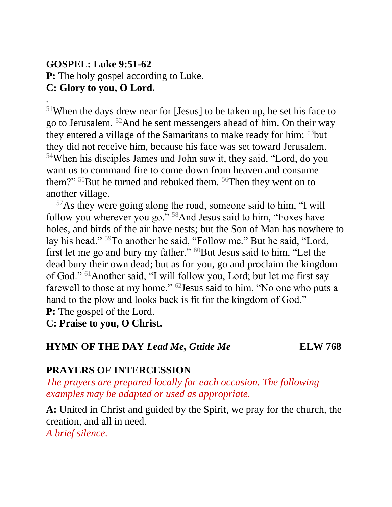#### **GOSPEL: Luke 9:51-62 P:** The holy gospel according to Luke. **C: Glory to you, O Lord.**

*.*

 $51$ When the days drew near for [Jesus] to be taken up, he set his face to go to Jerusalem. <sup>52</sup>And he sent messengers ahead of him. On their way they entered a village of the Samaritans to make ready for him;  $53$  but they did not receive him, because his face was set toward Jerusalem. <sup>54</sup>When his disciples James and John saw it, they said, "Lord, do you want us to command fire to come down from heaven and consume them?" <sup>55</sup>But he turned and rebuked them. <sup>56</sup>Then they went on to another village.

<sup>57</sup>As they were going along the road, someone said to him, "I will follow you wherever you go."<sup>58</sup>And Jesus said to him, "Foxes have holes, and birds of the air have nests; but the Son of Man has nowhere to lay his head." <sup>59</sup>To another he said, "Follow me." But he said, "Lord, first let me go and bury my father." <sup>60</sup>But Jesus said to him, "Let the dead bury their own dead; but as for you, go and proclaim the kingdom of God." <sup>61</sup>Another said, "I will follow you, Lord; but let me first say farewell to those at my home." <sup>62</sup>Jesus said to him, "No one who puts a hand to the plow and looks back is fit for the kingdom of God." **P:** The gospel of the Lord.

**C: Praise to you, O Christ.**

#### **HYMN OF THE DAY** *Lead Me, Guide Me* **ELW 768**

## **PRAYERS OF INTERCESSION**

*The prayers are prepared locally for each occasion. The following examples may be adapted or used as appropriate.*

**A:** United in Christ and guided by the Spirit, we pray for the church, the creation, and all in need.

*A brief silence.*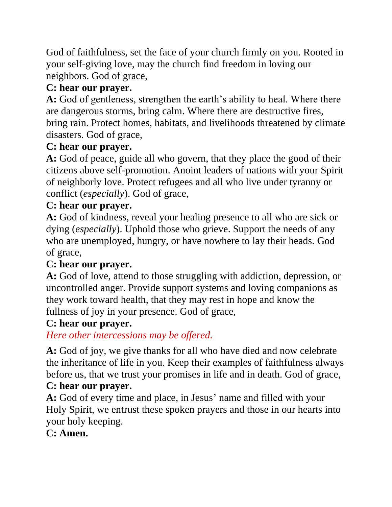God of faithfulness, set the face of your church firmly on you. Rooted in your self-giving love, may the church find freedom in loving our neighbors. God of grace,

# **C: hear our prayer.**

**A:** God of gentleness, strengthen the earth's ability to heal. Where there are dangerous storms, bring calm. Where there are destructive fires, bring rain. Protect homes, habitats, and livelihoods threatened by climate disasters. God of grace,

## **C: hear our prayer.**

**A:** God of peace, guide all who govern, that they place the good of their citizens above self-promotion. Anoint leaders of nations with your Spirit of neighborly love. Protect refugees and all who live under tyranny or conflict (*especially*). God of grace,

## **C: hear our prayer.**

**A:** God of kindness, reveal your healing presence to all who are sick or dying (*especially*). Uphold those who grieve. Support the needs of any who are unemployed, hungry, or have nowhere to lay their heads. God of grace,

## **C: hear our prayer.**

**A:** God of love, attend to those struggling with addiction, depression, or uncontrolled anger. Provide support systems and loving companions as they work toward health, that they may rest in hope and know the fullness of joy in your presence. God of grace,

## **C: hear our prayer.**

*Here other intercessions may be offered.*

**A:** God of joy, we give thanks for all who have died and now celebrate the inheritance of life in you. Keep their examples of faithfulness always before us, that we trust your promises in life and in death. God of grace,

## **C: hear our prayer.**

**A:** God of every time and place, in Jesus' name and filled with your Holy Spirit, we entrust these spoken prayers and those in our hearts into your holy keeping.

## **C: Amen.**